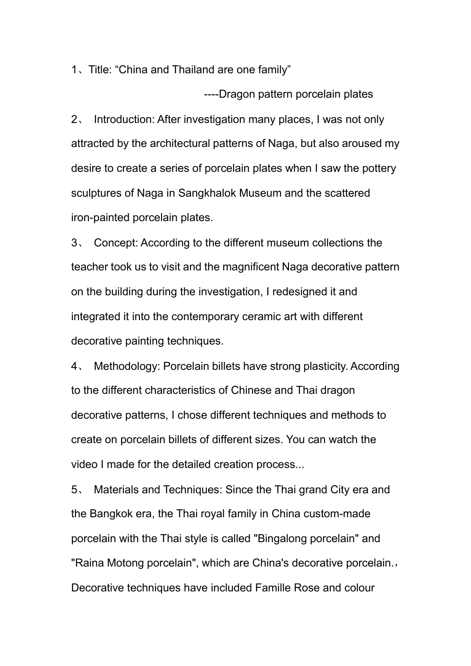1、Title: "China and Thailand are one family"

----Dragon pattern porcelain plates

2、 Introduction: After investigation many places, I was not only attracted by the architectural patterns of Naga, but also aroused my desire to create a series of porcelain plates when I saw the pottery sculptures of Naga in Sangkhalok Museum and the scattered iron-painted porcelain plates.

3、 Concept: According to the different museum collections the teacher took us to visit and the magnificent Naga decorative pattern on the building during the investigation, I redesigned it and integrated it into the contemporary ceramic art with different decorative painting techniques.

4、 Methodology: Porcelain billets have strong plasticity. According to the different characteristics of Chinese and Thai dragon decorative patterns, I chose different techniques and methods to create on porcelain billets of different sizes. You can watch the video I made for the detailed creation process...

5、 Materials and Techniques: Since the Thai grand City era and the Bangkok era, the Thai royal family in China custom-made porcelain with the Thai style is called "Bingalong porcelain" and "Raina Motong porcelain", which are China's decorative porcelain., Decorative techniques have included Famille Rose and colour